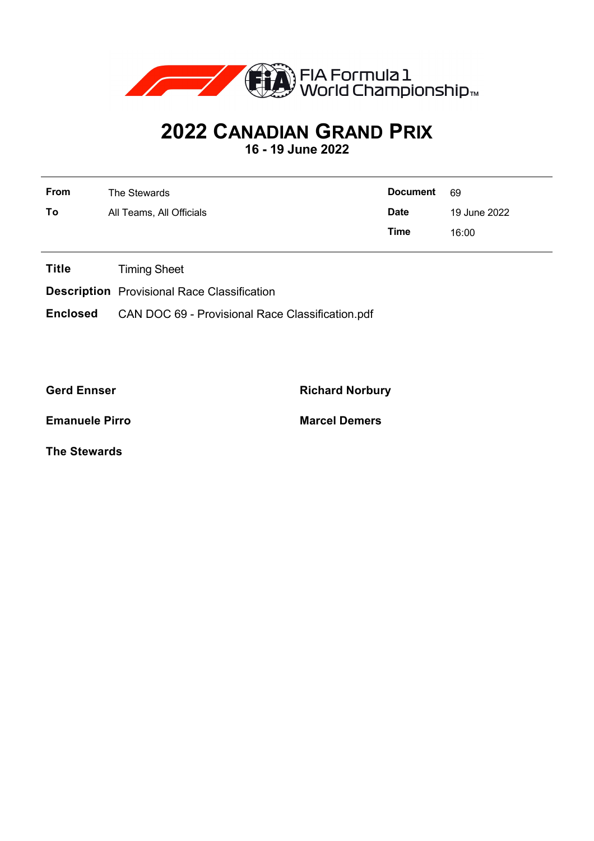

## **2022 CANADIAN GRAND PRIX**

**16 - 19 June 2022**

| <b>From</b> | The Stewards             | <b>Document</b> | -69          |  |  |
|-------------|--------------------------|-----------------|--------------|--|--|
| To          | All Teams, All Officials | <b>Date</b>     | 19 June 2022 |  |  |
|             |                          | Time            | 16:00        |  |  |

**Title** Timing Sheet

**Description** Provisional Race Classification

**Enclosed** CAN DOC 69 - Provisional Race Classification.pdf

**Gerd Ennser Richard Norbury**

**Emanuele Pirro Marcel Demers**

**The Stewards**